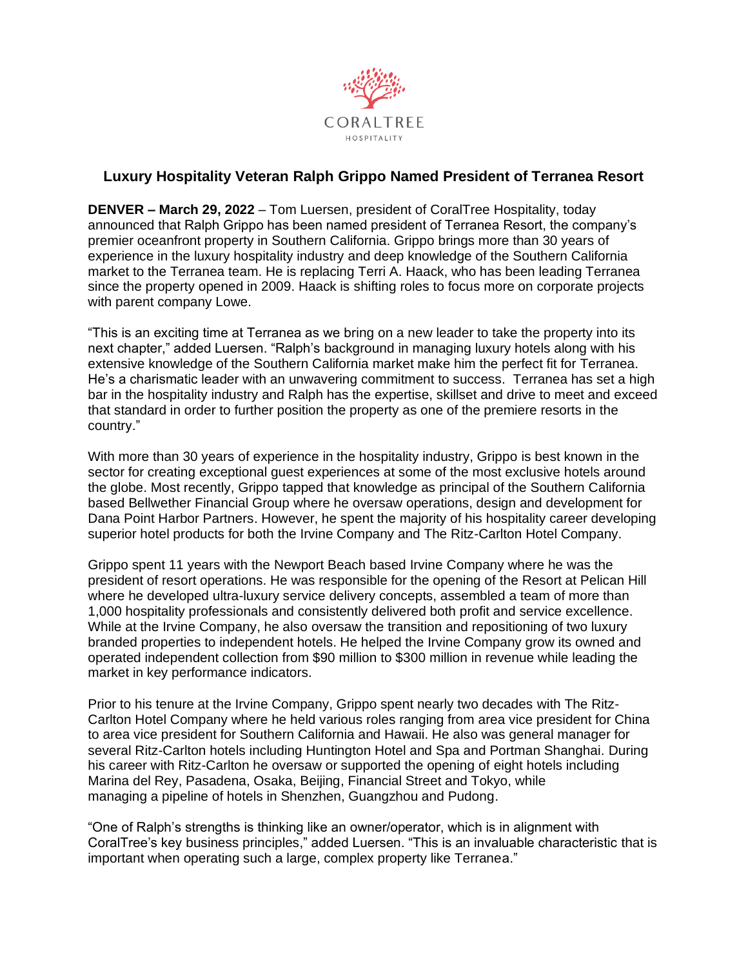

## **Luxury Hospitality Veteran Ralph Grippo Named President of Terranea Resort**

**DENVER – March 29, 2022** – Tom Luersen, president of CoralTree Hospitality, today announced that Ralph Grippo has been named president of Terranea Resort, the company's premier oceanfront property in Southern California. Grippo brings more than 30 years of experience in the luxury hospitality industry and deep knowledge of the Southern California market to the Terranea team. He is replacing Terri A. Haack, who has been leading Terranea since the property opened in 2009. Haack is shifting roles to focus more on corporate projects with parent company Lowe.

"This is an exciting time at Terranea as we bring on a new leader to take the property into its next chapter," added Luersen. "Ralph's background in managing luxury hotels along with his extensive knowledge of the Southern California market make him the perfect fit for Terranea. He's a charismatic leader with an unwavering commitment to success. Terranea has set a high bar in the hospitality industry and Ralph has the expertise, skillset and drive to meet and exceed that standard in order to further position the property as one of the premiere resorts in the country."

With more than 30 years of experience in the hospitality industry, Grippo is best known in the sector for creating exceptional guest experiences at some of the most exclusive hotels around the globe. Most recently, Grippo tapped that knowledge as principal of the Southern California based Bellwether Financial Group where he oversaw operations, design and development for Dana Point Harbor Partners. However, he spent the majority of his hospitality career developing superior hotel products for both the Irvine Company and The Ritz-Carlton Hotel Company.

Grippo spent 11 years with the Newport Beach based Irvine Company where he was the president of resort operations. He was responsible for the opening of the Resort at Pelican Hill where he developed ultra-luxury service delivery concepts, assembled a team of more than 1,000 hospitality professionals and consistently delivered both profit and service excellence. While at the Irvine Company, he also oversaw the transition and repositioning of two luxury branded properties to independent hotels. He helped the Irvine Company grow its owned and operated independent collection from \$90 million to \$300 million in revenue while leading the market in key performance indicators.

Prior to his tenure at the Irvine Company, Grippo spent nearly two decades with The Ritz-Carlton Hotel Company where he held various roles ranging from area vice president for China to area vice president for Southern California and Hawaii. He also was general manager for several Ritz-Carlton hotels including Huntington Hotel and Spa and Portman Shanghai. During his career with Ritz-Carlton he oversaw or supported the opening of eight hotels including Marina del Rey, Pasadena, Osaka, Beijing, Financial Street and Tokyo, while managing a pipeline of hotels in Shenzhen, Guangzhou and Pudong.

"One of Ralph's strengths is thinking like an owner/operator, which is in alignment with CoralTree's key business principles," added Luersen. "This is an invaluable characteristic that is important when operating such a large, complex property like Terranea."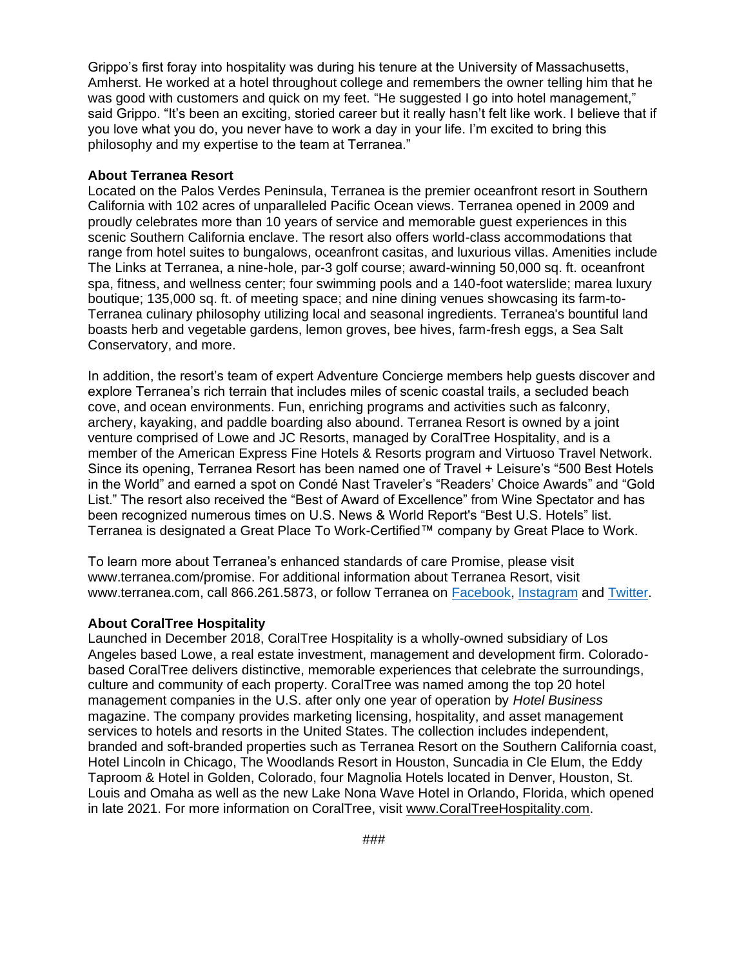Grippo's first foray into hospitality was during his tenure at the University of Massachusetts, Amherst. He worked at a hotel throughout college and remembers the owner telling him that he was good with customers and quick on my feet. "He suggested I go into hotel management," said Grippo. "It's been an exciting, storied career but it really hasn't felt like work. I believe that if you love what you do, you never have to work a day in your life. I'm excited to bring this philosophy and my expertise to the team at Terranea."

## **About Terranea Resort**

Located on the Palos Verdes Peninsula, Terranea is the premier oceanfront resort in Southern California with 102 acres of unparalleled Pacific Ocean views. Terranea opened in 2009 and proudly celebrates more than 10 years of service and memorable guest experiences in this scenic Southern California enclave. The resort also offers world-class accommodations that range from hotel suites to bungalows, oceanfront casitas, and luxurious villas. Amenities include The Links at Terranea, a nine-hole, par-3 golf course; award-winning 50,000 sq. ft. oceanfront spa, fitness, and wellness center; four swimming pools and a 140-foot waterslide; marea luxury boutique; 135,000 sq. ft. of meeting space; and nine dining venues showcasing its farm-to-Terranea culinary philosophy utilizing local and seasonal ingredients. Terranea's bountiful land boasts herb and vegetable gardens, lemon groves, bee hives, farm-fresh eggs, a Sea Salt Conservatory, and more.

In addition, the resort's team of expert Adventure Concierge members help guests discover and explore Terranea's rich terrain that includes miles of scenic coastal trails, a secluded beach cove, and ocean environments. Fun, enriching programs and activities such as falconry, archery, kayaking, and paddle boarding also abound. Terranea Resort is owned by a joint venture comprised of Lowe and JC Resorts, managed by CoralTree Hospitality, and is a member of the American Express Fine Hotels & Resorts program and Virtuoso Travel Network. Since its opening, Terranea Resort has been named one of Travel + Leisure's "500 Best Hotels in the World" and earned a spot on Condé Nast Traveler's "Readers' Choice Awards" and "Gold List." The resort also received the "Best of Award of Excellence" from Wine Spectator and has been recognized numerous times on U.S. News & World Report's "Best U.S. Hotels" list. Terranea is designated a Great Place To Work-Certified™ company by Great Place to Work.

To learn more about Terranea's enhanced standards of care Promise, please visit www.terranea.com/promise. For additional information about Terranea Resort, visit www.terranea.com, call 866.261.5873, or follow Terranea on [Facebook,](https://www.facebook.com/Terranea/?sda_xdinfo=CORALTREE%7CNEXTGUEST%7CCOR0006%7Ccdd771b4-af33-48fd-8441-d5a0b5498700%7C4222ab89-1d4e-4e85-8b14-5ada824042c0%7C1647362612867%7C%7Ccoraltree%7CT3%7Cfalse) [Instagram](https://www.instagram.com/terranearesort/?sda_xdinfo=CORALTREE%7CNEXTGUEST%7CCOR0006%7Ccdd771b4-af33-48fd-8441-d5a0b5498700%7C4222ab89-1d4e-4e85-8b14-5ada824042c0%7C1647362612867%7C%7Ccoraltree%7CT3%7Cfalse) and [Twitter.](https://twitter.com/TerraneaResort?sda_xdinfo=CORALTREE%7CNEXTGUEST%7CCOR0006%7Ccdd771b4-af33-48fd-8441-d5a0b5498700%7C4222ab89-1d4e-4e85-8b14-5ada824042c0%7C1647362612867%7C%7Ccoraltree%7CT3%7Cfalse)

## **About CoralTree Hospitality**

Launched in December 2018, CoralTree Hospitality is a wholly-owned subsidiary of Los Angeles based Lowe, a real estate investment, management and development firm. Coloradobased CoralTree delivers distinctive, memorable experiences that celebrate the surroundings, culture and community of each property. CoralTree was named among the top 20 hotel management companies in the U.S. after only one year of operation by *Hotel Business* magazine. The company provides marketing licensing, hospitality, and asset management services to hotels and resorts in the United States. The collection includes independent, branded and soft-branded properties such as Terranea Resort on the Southern California coast, Hotel Lincoln in Chicago, The Woodlands Resort in Houston, Suncadia in Cle Elum, the Eddy Taproom & Hotel in Golden, Colorado, four Magnolia Hotels located in Denver, Houston, St. Louis and Omaha as well as the new Lake Nona Wave Hotel in Orlando, Florida, which opened in late 2021. For more information on CoralTree, visit [www.CoralTreeHospitality.com.](http://www.coraltreehospitality.com/)